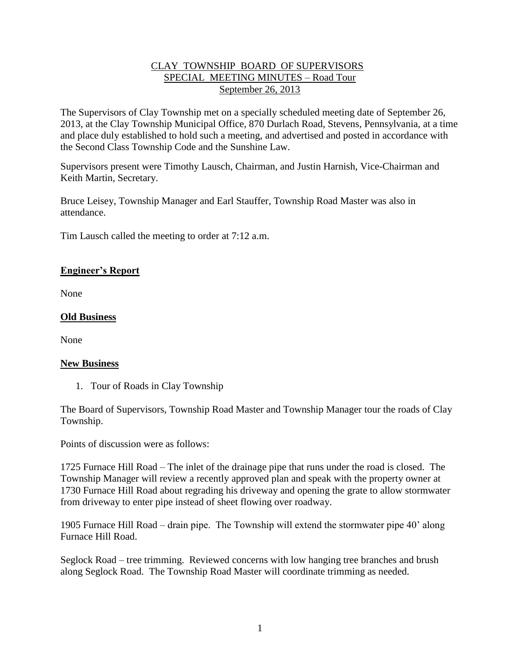# CLAY TOWNSHIP BOARD OF SUPERVISORS SPECIAL MEETING MINUTES – Road Tour September 26, 2013

The Supervisors of Clay Township met on a specially scheduled meeting date of September 26, 2013, at the Clay Township Municipal Office, 870 Durlach Road, Stevens, Pennsylvania, at a time and place duly established to hold such a meeting, and advertised and posted in accordance with the Second Class Township Code and the Sunshine Law.

Supervisors present were Timothy Lausch, Chairman, and Justin Harnish, Vice-Chairman and Keith Martin, Secretary.

Bruce Leisey, Township Manager and Earl Stauffer, Township Road Master was also in attendance.

Tim Lausch called the meeting to order at 7:12 a.m.

## **Engineer's Report**

None

## **Old Business**

None

#### **New Business**

1. Tour of Roads in Clay Township

The Board of Supervisors, Township Road Master and Township Manager tour the roads of Clay Township.

Points of discussion were as follows:

1725 Furnace Hill Road – The inlet of the drainage pipe that runs under the road is closed. The Township Manager will review a recently approved plan and speak with the property owner at 1730 Furnace Hill Road about regrading his driveway and opening the grate to allow stormwater from driveway to enter pipe instead of sheet flowing over roadway.

1905 Furnace Hill Road – drain pipe. The Township will extend the stormwater pipe 40' along Furnace Hill Road.

Seglock Road – tree trimming. Reviewed concerns with low hanging tree branches and brush along Seglock Road. The Township Road Master will coordinate trimming as needed.